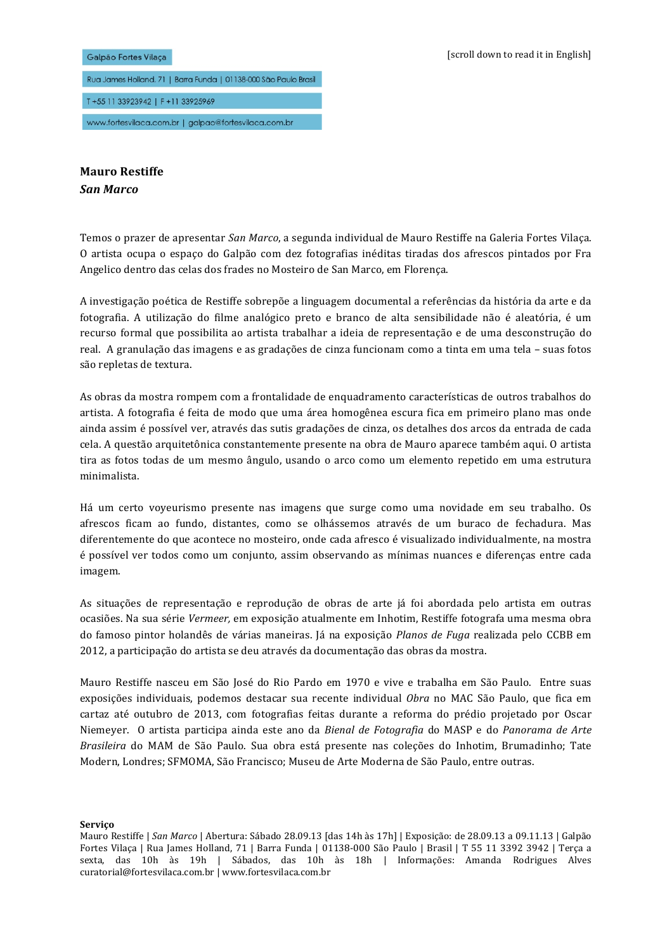

Rua James Holland, 71 | Barra Funda | 01138-000 São Paulo Brasil T+55 11 33923942 | F+11 33925969

www.fortesvilaca.com.br | galpao@fortesvilaca.com.br

**Mauro!Restiffe** *San\$Marco*

Temos o prazer de apresentar *San Marco*, a segunda individual de Mauro Restiffe na Galeria Fortes Vilaça. O artista ocupa o espaço do Galpão com dez fotografias inéditas tiradas dos afrescos pintados por Fra Angelico dentro das celas dos frades no Mosteiro de San Marco, em Florença.

A investigação poética de Restiffe sobrepõe a linguagem documental a referências da história da arte e da fotografia. A utilização do filme analógico preto e branco de alta sensibilidade não é aleatória, é um recurso formal que possibilita ao artista trabalhar a ideia de representação e de uma desconstrução do real. A granulação das imagens e as gradações de cinza funcionam como a tinta em uma tela – suas fotos são repletas de textura.

As obras da mostra rompem com a frontalidade de enquadramento características de outros trabalhos do artista. A fotografia é feita de modo que uma área homogênea escura fica em primeiro plano mas onde ainda assim é possível ver, através das sutis gradações de cinza, os detalhes dos arcos da entrada de cada cela. A questão arquitetônica constantemente presente na obra de Mauro aparece também aqui. O artista tira as fotos todas de um mesmo ângulo, usando o arco como um elemento repetido em uma estrutura minimalista.

Há um certo voyeurismo presente nas imagens que surge como uma novidade em seu trabalho. Os afrescos ficam ao fundo, distantes, como se olhássemos através de um buraco de fechadura. Mas diferentemente do que acontece no mosteiro, onde cada afresco é visualizado individualmente, na mostra é possível ver todos como um conjunto, assim observando as mínimas nuances e diferenças entre cada imagem.

As situações de representação e reprodução de obras de arte já foi abordada pelo artista em outras ocasiões. Na sua série *Vermeer,* em exposição atualmente em Inhotim, Restiffe fotografa uma mesma obra do famoso pintor holandês de várias maneiras. Já na exposição Planos de Fuga realizada pelo CCBB em 2012, a participação do artista se deu através da documentação das obras da mostra.

Mauro Restiffe nasceu em São José do Rio Pardo em 1970 e vive e trabalha em São Paulo. Entre suas exposições individuais, podemos destacar sua recente individual *Obra* no MAC São Paulo, que fica em cartaz até outubro de 2013, com fotografias feitas durante a reforma do prédio projetado por Oscar Niemeyer. O artista participa ainda este ano da *Bienal de Fotografia* do MASP e do *Panorama de Arte Brasileira* do MAM de São Paulo. Sua obra está presente nas coleções do Inhotim, Brumadinho; Tate Modern, Londres; SFMOMA, São Francisco; Museu de Arte Moderna de São Paulo, entre outras.

**Serviço**

Mauro Restiffe | *San Marco* | Abertura: Sábado 28.09.13 [das 14h às 17h] | Exposição: de 28.09.13 a 09.11.13 | Galpão Fortes Vilaça | Rua James Holland, 71 | Barra Funda | 01138-000 São Paulo | Brasil | T 55 11 3392 3942 | Terça a sexta, das 10h às 19h | Sábados, das 10h às 18h | Informações: Amanda Rodrigues Alves curatorial@fortesvilaca.com.br | www.fortesvilaca.com.br